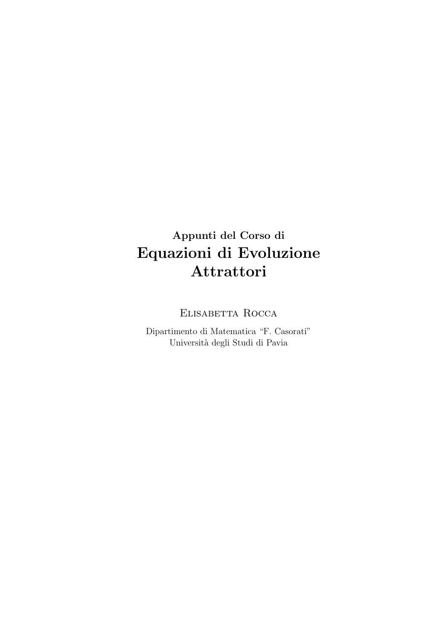## Appunti del Corso di Equazioni di Evoluzione Attrattori

Elisabetta Rocca

Dipartimento di Matematica "F. Casorati" Universit`a degli Studi di Pavia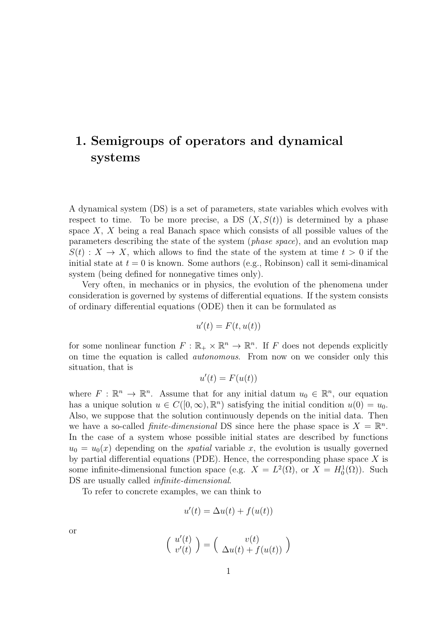## 1. Semigroups of operators and dynamical systems

A dynamical system (DS) is a set of parameters, state variables which evolves with respect to time. To be more precise, a DS  $(X, S(t))$  is determined by a phase space  $X$ ,  $X$  being a real Banach space which consists of all possible values of the parameters describing the state of the system (phase space), and an evolution map  $S(t): X \to X$ , which allows to find the state of the system at time  $t > 0$  if the initial state at  $t = 0$  is known. Some authors (e.g., Robinson) call it semi-dinamical system (being defined for nonnegative times only).

Very often, in mechanics or in physics, the evolution of the phenomena under consideration is governed by systems of differential equations. If the system consists of ordinary differential equations (ODE) then it can be formulated as

$$
u'(t) = F(t, u(t))
$$

for some nonlinear function  $F: \mathbb{R}_+ \times \mathbb{R}^n \to \mathbb{R}^n$ . If F does not depends explicitly on time the equation is called autonomous. From now on we consider only this situation, that is

$$
u^\prime(t)=F(u(t))
$$

where  $F: \mathbb{R}^n \to \mathbb{R}^n$ . Assume that for any initial datum  $u_0 \in \mathbb{R}^n$ , our equation has a unique solution  $u \in C([0,\infty), \mathbb{R}^n)$  satisfying the initial condition  $u(0) = u_0$ . Also, we suppose that the solution continuously depends on the initial data. Then we have a so-called *finite-dimensional* DS since here the phase space is  $X = \mathbb{R}^n$ . In the case of a system whose possible initial states are described by functions  $u_0 = u_0(x)$  depending on the *spatial* variable x, the evolution is usually governed by partial differential equations (PDE). Hence, the corresponding phase space  $X$  is some infinite-dimensional function space (e.g.  $X = L^2(\Omega)$ , or  $X = H_0^1(\Omega)$ ). Such DS are usually called *infinite-dimensional*.

To refer to concrete examples, we can think to

$$
u'(t) = \Delta u(t) + f(u(t))
$$

or

$$
\left(\begin{array}{c}u'(t)\\v'(t)\end{array}\right)=\left(\begin{array}{c}v(t)\\ \Delta u(t)+f(u(t))\end{array}\right)
$$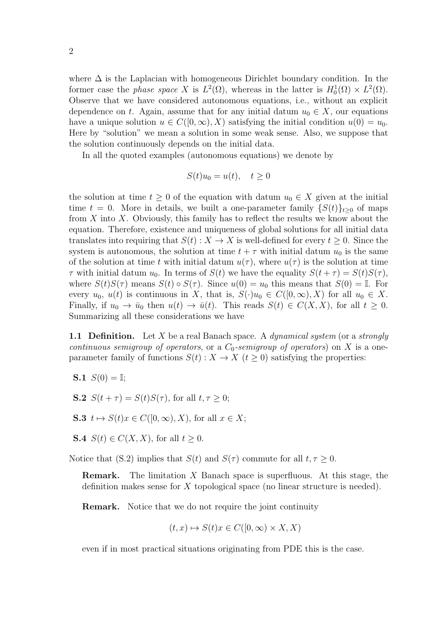where  $\Delta$  is the Laplacian with homogeneous Dirichlet boundary condition. In the former case the *phase space* X is  $L^2(\Omega)$ , whereas in the latter is  $H_0^1(\Omega) \times L^2(\Omega)$ . Observe that we have considered autonomous equations, i.e., without an explicit dependence on t. Again, assume that for any initial datum  $u_0 \in X$ , our equations have a unique solution  $u \in C([0,\infty), X)$  satisfying the initial condition  $u(0) = u_0$ . Here by "solution" we mean a solution in some weak sense. Also, we suppose that the solution continuously depends on the initial data.

In all the quoted examples (autonomous equations) we denote by

$$
S(t)u_0 = u(t), \quad t \ge 0
$$

the solution at time  $t \geq 0$  of the equation with datum  $u_0 \in X$  given at the initial time  $t = 0$ . More in details, we built a one-parameter family  $\{S(t)\}_{t\geq0}$  of maps from  $X$  into  $X$ . Obviously, this family has to reflect the results we know about the equation. Therefore, existence and uniqueness of global solutions for all initial data translates into requiring that  $S(t): X \to X$  is well-defined for every  $t \geq 0$ . Since the system is autonomous, the solution at time  $t + \tau$  with initial datum  $u_0$  is the same of the solution at time t with initial datum  $u(\tau)$ , where  $u(\tau)$  is the solution at time  $\tau$  with initial datum  $u_0$ . In terms of  $S(t)$  we have the equality  $S(t + \tau) = S(t)S(\tau)$ , where  $S(t)S(\tau)$  means  $S(t) \circ S(\tau)$ . Since  $u(0) = u_0$  this means that  $S(0) = \mathbb{I}$ . For every  $u_0, u(t)$  is continuous in X, that is,  $S(\cdot)u_0 \in C([0,\infty), X)$  for all  $u_0 \in X$ . Finally, if  $u_0 \to \bar{u}_0$  then  $u(t) \to \bar{u}(t)$ . This reads  $S(t) \in C(X,X)$ , for all  $t \geq 0$ . Summarizing all these considerations we have

**1.1 Definition.** Let X be a real Banach space. A *dynamical system* (or a *strongly* continuous semigroup of operators, or a  $C_0$ -semigroup of operators) on X is a oneparameter family of functions  $S(t) : X \to X$   $(t \geq 0)$  satisfying the properties:

- **S.1**  $S(0) =$ **I**;
- **S.2**  $S(t + \tau) = S(t)S(\tau)$ , for all  $t, \tau > 0$ ;
- S.3  $t \mapsto S(t)x \in C([0,\infty), X)$ , for all  $x \in X$ ;
- **S.4**  $S(t) \in C(X, X)$ , for all  $t \geq 0$ .

Notice that (S.2) implies that  $S(t)$  and  $S(\tau)$  commute for all  $t, \tau \geq 0$ .

**Remark.** The limitation  $X$  Banach space is superfluous. At this stage, the definition makes sense for X topological space (no linear structure is needed).

Remark. Notice that we do not require the joint continuity

$$
(t, x) \mapsto S(t)x \in C([0, \infty) \times X, X)
$$

even if in most practical situations originating from PDE this is the case.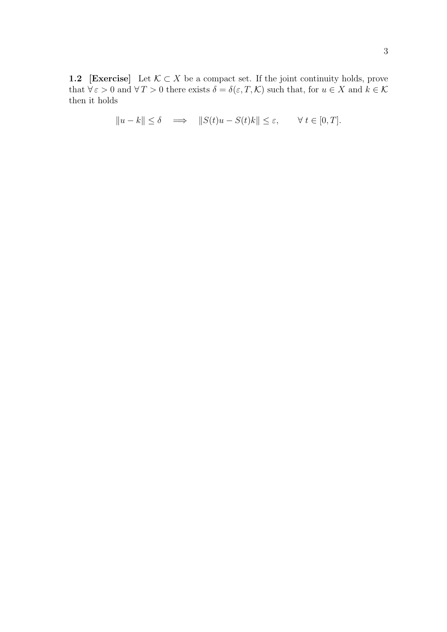1.2 [Exercise] Let  $\mathcal{K} \subset X$  be a compact set. If the joint continuity holds, prove that  $\forall \varepsilon > 0$  and  $\forall T > 0$  there exists  $\delta = \delta(\varepsilon, T, \mathcal{K})$  such that, for  $u \in X$  and  $k \in \mathcal{K}$ then it holds

$$
||u - k|| \le \delta \quad \Longrightarrow \quad ||S(t)u - S(t)k|| \le \varepsilon, \qquad \forall \ t \in [0, T].
$$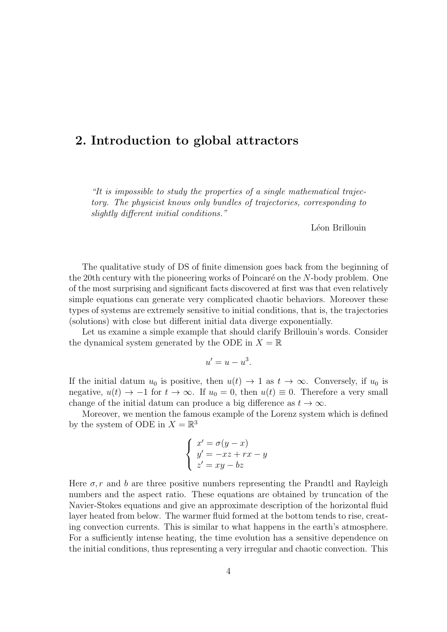### 2. Introduction to global attractors

"It is impossible to study the properties of a single mathematical trajectory. The physicist knows only bundles of trajectories, corresponding to slightly different initial conditions."

Léon Brillouin

The qualitative study of DS of finite dimension goes back from the beginning of the 20th century with the pioneering works of Poincaré on the  $N$ -body problem. One of the most surprising and significant facts discovered at first was that even relatively simple equations can generate very complicated chaotic behaviors. Moreover these types of systems are extremely sensitive to initial conditions, that is, the trajectories (solutions) with close but different initial data diverge exponentially.

Let us examine a simple example that should clarify Brillouin's words. Consider the dynamical system generated by the ODE in  $X = \mathbb{R}$ 

$$
u'=u-u^3.
$$

If the initial datum  $u_0$  is positive, then  $u(t) \rightarrow 1$  as  $t \rightarrow \infty$ . Conversely, if  $u_0$  is negative,  $u(t) \rightarrow -1$  for  $t \rightarrow \infty$ . If  $u_0 = 0$ , then  $u(t) \equiv 0$ . Therefore a very small change of the initial datum can produce a big difference as  $t \to \infty$ .

Moreover, we mention the famous example of the Lorenz system which is defined by the system of ODE in  $X = \mathbb{R}^3$ 

$$
\begin{cases}\nx' = \sigma(y - x) \\
y' = -xz + rx - y \\
z' = xy - bz\n\end{cases}
$$

Here  $\sigma$ , r and b are three positive numbers representing the Prandtl and Rayleigh numbers and the aspect ratio. These equations are obtained by truncation of the Navier-Stokes equations and give an approximate description of the horizontal fluid layer heated from below. The warmer fluid formed at the bottom tends to rise, creating convection currents. This is similar to what happens in the earth's atmosphere. For a sufficiently intense heating, the time evolution has a sensitive dependence on the initial conditions, thus representing a very irregular and chaotic convection. This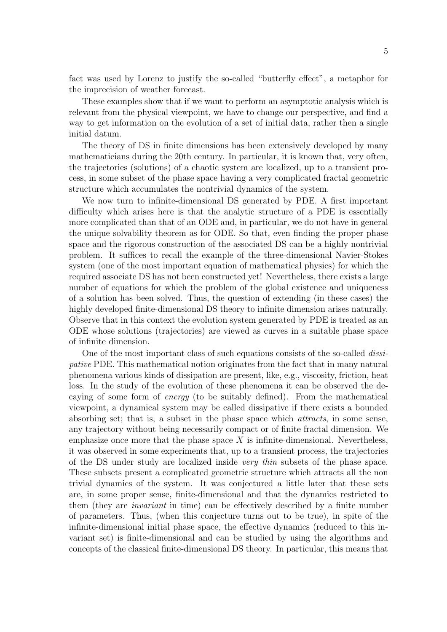fact was used by Lorenz to justify the so-called "butterfly effect", a metaphor for the imprecision of weather forecast.

These examples show that if we want to perform an asymptotic analysis which is relevant from the physical viewpoint, we have to change our perspective, and find a way to get information on the evolution of a set of initial data, rather then a single initial datum.

The theory of DS in finite dimensions has been extensively developed by many mathematicians during the 20th century. In particular, it is known that, very often, the trajectories (solutions) of a chaotic system are localized, up to a transient process, in some subset of the phase space having a very complicated fractal geometric structure which accumulates the nontrivial dynamics of the system.

We now turn to infinite-dimensional DS generated by PDE. A first important difficulty which arises here is that the analytic structure of a PDE is essentially more complicated than that of an ODE and, in particular, we do not have in general the unique solvability theorem as for ODE. So that, even finding the proper phase space and the rigorous construction of the associated DS can be a highly nontrivial problem. It suffices to recall the example of the three-dimensional Navier-Stokes system (one of the most important equation of mathematical physics) for which the required associate DS has not been constructed yet! Nevertheless, there exists a large number of equations for which the problem of the global existence and uniqueness of a solution has been solved. Thus, the question of extending (in these cases) the highly developed finite-dimensional DS theory to infinite dimension arises naturally. Observe that in this context the evolution system generated by PDE is treated as an ODE whose solutions (trajectories) are viewed as curves in a suitable phase space of infinite dimension.

One of the most important class of such equations consists of the so-called dissipative PDE. This mathematical notion originates from the fact that in many natural phenomena various kinds of dissipation are present, like, e.g., viscosity, friction, heat loss. In the study of the evolution of these phenomena it can be observed the decaying of some form of energy (to be suitably defined). From the mathematical viewpoint, a dynamical system may be called dissipative if there exists a bounded absorbing set; that is, a subset in the phase space which attracts, in some sense, any trajectory without being necessarily compact or of finite fractal dimension. We emphasize once more that the phase space  $X$  is infinite-dimensional. Nevertheless, it was observed in some experiments that, up to a transient process, the trajectories of the DS under study are localized inside very thin subsets of the phase space. These subsets present a complicated geometric structure which attracts all the non trivial dynamics of the system. It was conjectured a little later that these sets are, in some proper sense, finite-dimensional and that the dynamics restricted to them (they are invariant in time) can be effectively described by a finite number of parameters. Thus, (when this conjecture turns out to be true), in spite of the infinite-dimensional initial phase space, the effective dynamics (reduced to this invariant set) is finite-dimensional and can be studied by using the algorithms and concepts of the classical finite-dimensional DS theory. In particular, this means that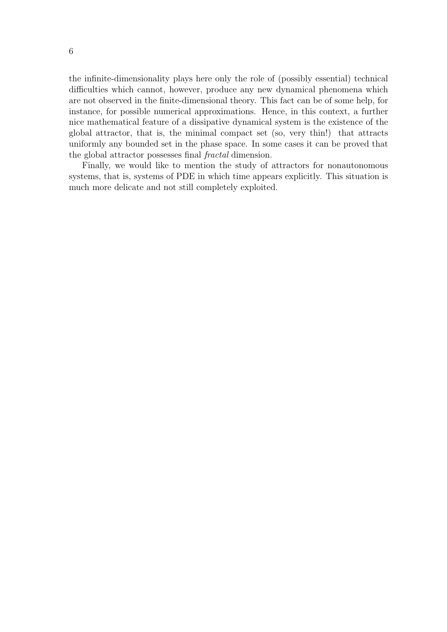the infinite-dimensionality plays here only the role of (possibly essential) technical difficulties which cannot, however, produce any new dynamical phenomena which are not observed in the finite-dimensional theory. This fact can be of some help, for instance, for possible numerical approximations. Hence, in this context, a further nice mathematical feature of a dissipative dynamical system is the existence of the global attractor, that is, the minimal compact set (so, very thin!) that attracts uniformly any bounded set in the phase space. In some cases it can be proved that the global attractor possesses final fractal dimension.

Finally, we would like to mention the study of attractors for nonautonomous systems, that is, systems of PDE in which time appears explicitly. This situation is much more delicate and not still completely exploited.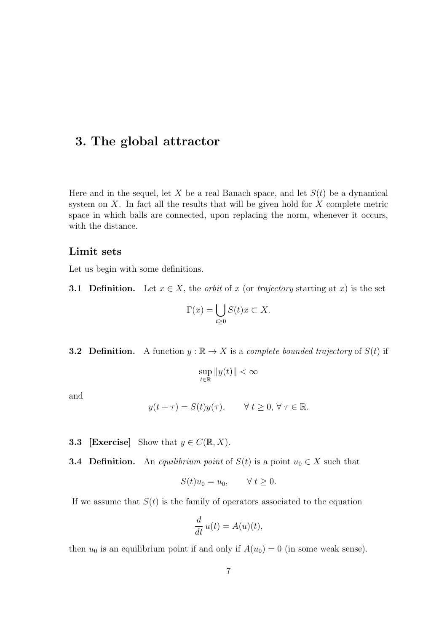### 3. The global attractor

Here and in the sequel, let X be a real Banach space, and let  $S(t)$  be a dynamical system on  $X$ . In fact all the results that will be given hold for  $X$  complete metric space in which balls are connected, upon replacing the norm, whenever it occurs, with the distance.

#### Limit sets

Let us begin with some definitions.

**3.1 Definition.** Let  $x \in X$ , the *orbit* of x (or *trajectory* starting at x) is the set

$$
\Gamma(x) = \bigcup_{t \ge 0} S(t)x \subset X.
$$

**3.2 Definition.** A function  $y : \mathbb{R} \to X$  is a *complete bounded trajectory* of  $S(t)$  if

$$
\sup_{t\in\mathbb{R}}\|y(t)\|<\infty
$$

and

$$
y(t+\tau) = S(t)y(\tau), \qquad \forall \ t \ge 0, \ \forall \ \tau \in \mathbb{R}.
$$

**3.3** [Exercise] Show that  $y \in C(\mathbb{R}, X)$ .

**3.4 Definition.** An *equilibrium point* of  $S(t)$  is a point  $u_0 \in X$  such that

$$
S(t)u_0 = u_0, \qquad \forall \ t \ge 0.
$$

If we assume that  $S(t)$  is the family of operators associated to the equation

$$
\frac{d}{dt}u(t) = A(u)(t),
$$

then  $u_0$  is an equilibrium point if and only if  $A(u_0) = 0$  (in some weak sense).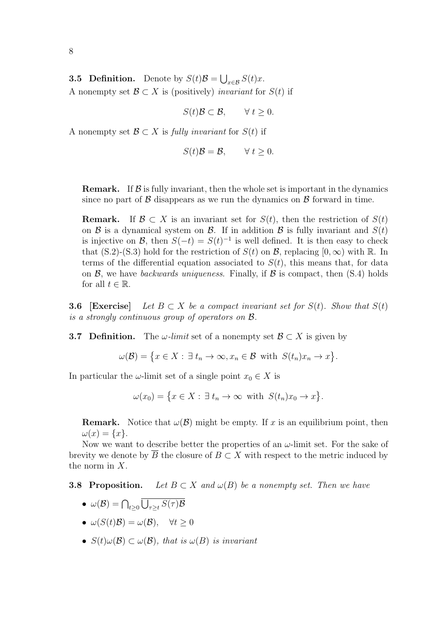8

**3.5 Definition.** Denote by  $S(t)\mathcal{B} = \bigcup_{x \in \mathcal{B}} S(t)x$ . A nonempty set  $\mathcal{B} \subset X$  is (positively) invariant for  $S(t)$  if

$$
S(t)\mathcal{B} \subset \mathcal{B}, \qquad \forall \ t \ge 0.
$$

A nonempty set  $\mathcal{B} \subset X$  is fully invariant for  $S(t)$  if

$$
S(t)\mathcal{B} = \mathcal{B}, \qquad \forall t \ge 0.
$$

**Remark.** If  $\beta$  is fully invariant, then the whole set is important in the dynamics since no part of  $\beta$  disappears as we run the dynamics on  $\beta$  forward in time.

**Remark.** If  $\mathcal{B} \subset X$  is an invariant set for  $S(t)$ , then the restriction of  $S(t)$ on  $\mathcal B$  is a dynamical system on  $\mathcal B$ . If in addition  $\mathcal B$  is fully invariant and  $S(t)$ is injective on B, then  $S(-t) = S(t)^{-1}$  is well defined. It is then easy to check that  $(S.2)-(S.3)$  hold for the restriction of  $S(t)$  on  $\mathcal{B}$ , replacing  $[0,\infty)$  with  $\mathbb{R}$ . In terms of the differential equation associated to  $S(t)$ , this means that, for data on  $\mathcal{B}$ , we have backwards uniqueness. Finally, if  $\mathcal{B}$  is compact, then (S.4) holds for all  $t \in \mathbb{R}$ .

**3.6** [Exercise] Let  $B \subset X$  be a compact invariant set for  $S(t)$ . Show that  $S(t)$ is a strongly continuous group of operators on B.

**3.7 Definition.** The  $\omega$ -limit set of a nonempty set  $\mathcal{B} \subset X$  is given by

$$
\omega(\mathcal{B}) = \{ x \in X : \exists t_n \to \infty, x_n \in \mathcal{B} \text{ with } S(t_n)x_n \to x \}.
$$

In particular the  $\omega$ -limit set of a single point  $x_0 \in X$  is

 $\omega(x_0) = \{x \in X : \exists t_n \to \infty \text{ with } S(t_n)x_0 \to x\}.$ 

**Remark.** Notice that  $\omega(\mathcal{B})$  might be empty. If x is an equilibrium point, then  $\omega(x) = \{x\}.$ 

Now we want to describe better the properties of an  $\omega$ -limit set. For the sake of brevity we denote by B the closure of  $B \subset X$  with respect to the metric induced by the norm in X.

**3.8 Proposition.** Let  $B \subset X$  and  $\omega(B)$  be a nonempty set. Then we have

- $\bullet \ \omega(\mathcal{B}) = \bigcap_{t \geq 0} \bigcup_{\tau \geq t} S(\tau) \mathcal{B}$
- $\omega(S(t)\mathcal{B}) = \omega(\mathcal{B}), \quad \forall t \geq 0$
- $S(t)\omega(\mathcal{B}) \subset \omega(\mathcal{B})$ , that is  $\omega(B)$  is invariant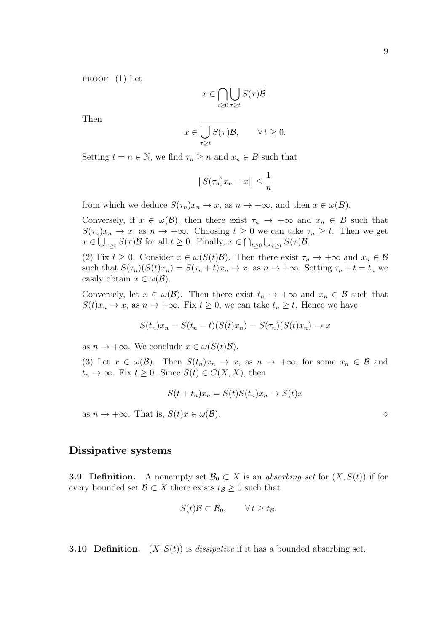proof (1) Let

$$
x \in \bigcap_{t \geq 0} \overline{\bigcup_{\tau \geq t} S(\tau)} \mathcal{B}.
$$

Then

$$
x \in \overline{\bigcup_{\tau \ge t} S(\tau)\mathcal{B}}, \qquad \forall t \ge 0.
$$

Setting  $t = n \in \mathbb{N}$ , we find  $\tau_n \geq n$  and  $x_n \in B$  such that

$$
||S(\tau_n)x_n - x|| \le \frac{1}{n}
$$

from which we deduce  $S(\tau_n)x_n \to x$ , as  $n \to +\infty$ , and then  $x \in \omega(B)$ .

Conversely, if  $x \in \omega(\mathcal{B})$ , then there exist  $\tau_n \to +\infty$  and  $x_n \in B$  such that  $S(\tau_n)x_n \to x$ , as  $n \to +\infty$ . Choosing  $t \geq 0$  we can take  $\tau_n \geq t$ . Then we get  $x \in \bigcup_{\tau \geq t} S(\tau) \mathcal{B}$  for all  $t \geq 0$ . Finally,  $x \in \bigcap_{t \geq 0} \bigcup_{\tau \geq t} S(\tau) \mathcal{B}$ .

(2) Fix  $t \geq 0$ . Consider  $x \in \omega(S(t)\mathcal{B})$ . Then there exist  $\tau_n \to +\infty$  and  $x_n \in \mathcal{B}$ such that  $S(\tau_n)(S(t)x_n) = S(\tau_n + t)x_n \to x$ , as  $n \to +\infty$ . Setting  $\tau_n + t = t_n$  we easily obtain  $x \in \omega(\mathcal{B})$ .

Conversely, let  $x \in \omega(\mathcal{B})$ . Then there exist  $t_n \to +\infty$  and  $x_n \in \mathcal{B}$  such that  $S(t)x_n \to x$ , as  $n \to +\infty$ . Fix  $t \geq 0$ , we can take  $t_n \geq t$ . Hence we have

$$
S(t_n)x_n = S(t_n - t)(S(t)x_n) = S(\tau_n)(S(t)x_n) \to x
$$

as  $n \to +\infty$ . We conclude  $x \in \omega(S(t)\mathcal{B})$ .

(3) Let  $x \in \omega(\mathcal{B})$ . Then  $S(t_n)x_n \to x$ , as  $n \to +\infty$ , for some  $x_n \in \mathcal{B}$  and  $t_n \to \infty$ . Fix  $t \geq 0$ . Since  $S(t) \in C(X, X)$ , then

$$
S(t + t_n)x_n = S(t)S(t_n)x_n \to S(t)x
$$

as  $n \to +\infty$ . That is,  $S(t)x \in \omega(\mathcal{B})$ .

#### Dissipative systems

**3.9 Definition.** A nonempty set  $\mathcal{B}_0 \subset X$  is an absorbing set for  $(X, S(t))$  if for every bounded set  $\mathcal{B} \subset X$  there exists  $t_{\mathcal{B}} \geq 0$  such that

$$
S(t)\mathcal{B} \subset \mathcal{B}_0, \qquad \forall t \geq t_{\mathcal{B}}.
$$

**3.10 Definition.**  $(X, S(t))$  is *dissipative* if it has a bounded absorbing set.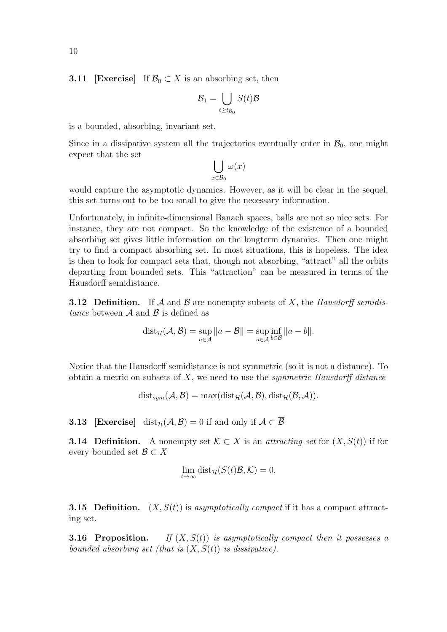**3.11** [Exercise] If  $\mathcal{B}_0 \subset X$  is an absorbing set, then

$$
\mathcal{B}_1 = \bigcup_{t \ge t_{\mathcal{B}_0}} S(t)\mathcal{B}
$$

is a bounded, absorbing, invariant set.

Since in a dissipative system all the trajectories eventually enter in  $\mathcal{B}_0$ , one might expect that the set

$$
\bigcup_{x \in \mathcal{B}_0} \omega(x)
$$

would capture the asymptotic dynamics. However, as it will be clear in the sequel, this set turns out to be too small to give the necessary information.

Unfortunately, in infinite-dimensional Banach spaces, balls are not so nice sets. For instance, they are not compact. So the knowledge of the existence of a bounded absorbing set gives little information on the longterm dynamics. Then one might try to find a compact absorbing set. In most situations, this is hopeless. The idea is then to look for compact sets that, though not absorbing, "attract" all the orbits departing from bounded sets. This "attraction" can be measured in terms of the Hausdorff semidistance.

**3.12 Definition.** If  $A$  and  $B$  are nonempty subsets of  $X$ , the Hausdorff semidistance between  $A$  and  $B$  is defined as

$$
dist_{\mathcal{H}}(\mathcal{A}, \mathcal{B}) = \sup_{a \in \mathcal{A}} ||a - \mathcal{B}|| = \sup_{a \in \mathcal{A}} \inf_{b \in \mathcal{B}} ||a - b||.
$$

Notice that the Hausdorff semidistance is not symmetric (so it is not a distance). To obtain a metric on subsets of  $X$ , we need to use the *symmetric Hausdorff distance* 

 $dist_{sym}(\mathcal{A}, \mathcal{B}) = max(diist_{\mathcal{H}}(\mathcal{A}, \mathcal{B}), dist_{\mathcal{H}}(\mathcal{B}, \mathcal{A})).$ 

**3.13** [Exercise] dist<sub>H</sub>( $A, B$ ) = 0 if and only if  $A \subset B$ 

**3.14 Definition.** A nonempty set  $\mathcal{K} \subset X$  is an *attracting set* for  $(X, S(t))$  if for every bounded set  $\mathcal{B} \subset X$ 

$$
\lim_{t \to \infty} \text{dist}_{\mathcal{H}}(S(t)\mathcal{B}, \mathcal{K}) = 0.
$$

**3.15 Definition.**  $(X, S(t))$  is asymptotically compact if it has a compact attracting set.

**3.16 Proposition.** If  $(X, S(t))$  is asymptotically compact then it possesses a bounded absorbing set (that is  $(X, S(t))$  is dissipative).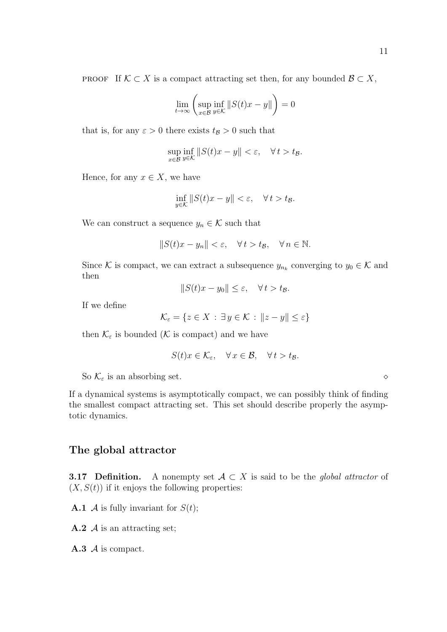PROOF If  $K \subset X$  is a compact attracting set then, for any bounded  $\mathcal{B} \subset X$ ,

$$
\lim_{t \to \infty} \left( \sup_{x \in \mathcal{B}} \inf_{y \in \mathcal{K}} \|S(t)x - y\| \right) = 0
$$

that is, for any  $\varepsilon > 0$  there exists  $t_{\mathcal{B}} > 0$  such that

$$
\sup_{x \in \mathcal{B}} \inf_{y \in \mathcal{K}} \|S(t)x - y\| < \varepsilon, \quad \forall \, t > t_{\mathcal{B}}.
$$

Hence, for any  $x \in X$ , we have

$$
\inf_{y \in \mathcal{K}} \|S(t)x - y\| < \varepsilon, \quad \forall \, t > t\,
$$

We can construct a sequence  $y_n \in \mathcal{K}$  such that

$$
||S(t)x - y_n|| < \varepsilon, \quad \forall \, t > t_{\mathcal{B}}, \quad \forall \, n \in \mathbb{N}.
$$

Since K is compact, we can extract a subsequence  $y_{n_k}$  converging to  $y_0 \in \mathcal{K}$  and then

$$
||S(t)x - y_0|| \le \varepsilon, \quad \forall \, t > t_{\mathcal{B}}.
$$

If we define

$$
\mathcal{K}_{\varepsilon} = \{ z \in X : \exists y \in \mathcal{K} : ||z - y|| \le \varepsilon \}
$$

then  $\mathcal{K}_\varepsilon$  is bounded ( $\mathcal K$  is compact) and we have

$$
S(t)x \in \mathcal{K}_{\varepsilon}, \quad \forall x \in \mathcal{B}, \quad \forall t > t_{\mathcal{B}}.
$$

So  $\mathcal{K}_{\varepsilon}$  is an absorbing set.

If a dynamical systems is asymptotically compact, we can possibly think of finding the smallest compact attracting set. This set should describe properly the asymptotic dynamics.

#### The global attractor

**3.17 Definition.** A nonempty set  $A \subset X$  is said to be the global attractor of  $(X, S(t))$  if it enjoys the following properties:

**A.1**  $\mathcal A$  is fully invariant for  $S(t)$ ;

 $\bf{A.2}$  *A* is an attracting set;

 $A.3$  *A* is compact.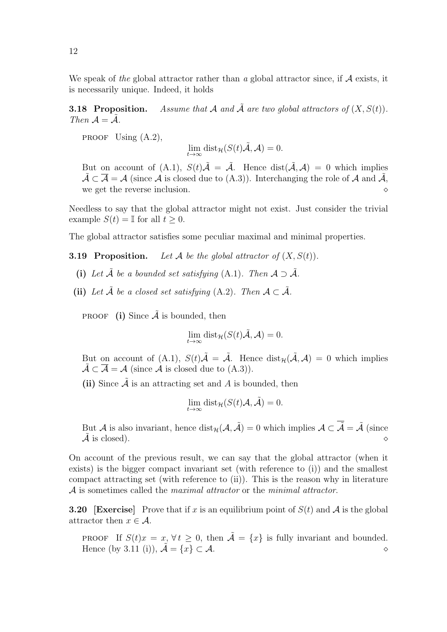We speak of the global attractor rather than a global attractor since, if  $A$  exists, it is necessarily unique. Indeed, it holds

**3.18 Proposition.** Assume that A and  $\tilde{A}$  are two global attractors of  $(X, S(t))$ . Then  $\mathcal{A} = \mathcal{A}$ .

PROOF Using  $(A.2)$ ,

$$
\lim_{t \to \infty} \text{dist}_{\mathcal{H}}(S(t)\tilde{\mathcal{A}}, \mathcal{A}) = 0.
$$

But on account of (A.1),  $S(t)\tilde{\mathcal{A}} = \tilde{\mathcal{A}}$ . Hence  $dist(\tilde{\mathcal{A}}, \mathcal{A}) = 0$  which implies  $\tilde{\mathcal{A}} \subset \overline{\mathcal{A}} = \mathcal{A}$  (since  $\mathcal{A}$  is closed due to (A.3)). Interchanging the role of  $\mathcal{A}$  and  $\tilde{\mathcal{A}}$ , we get the reverse inclusion.

Needless to say that the global attractor might not exist. Just consider the trivial example  $S(t) = \mathbb{I}$  for all  $t > 0$ .

The global attractor satisfies some peculiar maximal and minimal properties.

**3.19 Proposition.** Let A be the global attractor of  $(X, S(t))$ .

- (i) Let  $\tilde{A}$  be a bounded set satisfying (A.1). Then  $A \supset \tilde{A}$ .
- (ii) Let  $\tilde{A}$  be a closed set satisfying (A.2). Then  $A \subset \tilde{A}$ .

**PROOF** (i) Since  $\tilde{A}$  is bounded, then

$$
\lim_{t \to \infty} \text{dist}_{\mathcal{H}}(S(t)\tilde{\mathcal{A}}, \mathcal{A}) = 0.
$$

But on account of (A.1),  $S(t)\tilde{\mathcal{A}} = \tilde{\mathcal{A}}$ . Hence  $dist_{\mathcal{H}}(\tilde{\mathcal{A}}, \mathcal{A}) = 0$  which implies  $\tilde{\mathcal{A}} \subset \overline{\mathcal{A}} = \mathcal{A}$  (since  $\mathcal{A}$  is closed due to  $(A.3)$ ).

(ii) Since  $\tilde{A}$  is an attracting set and A is bounded, then

$$
\lim_{t \to \infty} \text{dist}_{\mathcal{H}}(S(t)\mathcal{A}, \tilde{\mathcal{A}}) = 0.
$$

But A is also invariant, hence  $dist_{\mathcal{H}}(\mathcal{A}, \tilde{\mathcal{A}}) = 0$  which implies  $\mathcal{A} \subset \overline{\tilde{\mathcal{A}}} = \tilde{\mathcal{A}}$  (since  $\tilde{\mathcal{A}}$  is closed).

On account of the previous result, we can say that the global attractor (when it exists) is the bigger compact invariant set (with reference to (i)) and the smallest compact attracting set (with reference to (ii)). This is the reason why in literature A is sometimes called the *maximal attractor* or the *minimal attractor*.

**3.20** [Exercise] Prove that if x is an equilibrium point of  $S(t)$  and A is the global attractor then  $x \in \mathcal{A}$ .

**PROOF** If  $S(t)x = x, \forall t > 0$ , then  $\tilde{A} = \{x\}$  is fully invariant and bounded. Hence (by 3.11 (i)),  $\tilde{A} = \{x\} \subset A$ .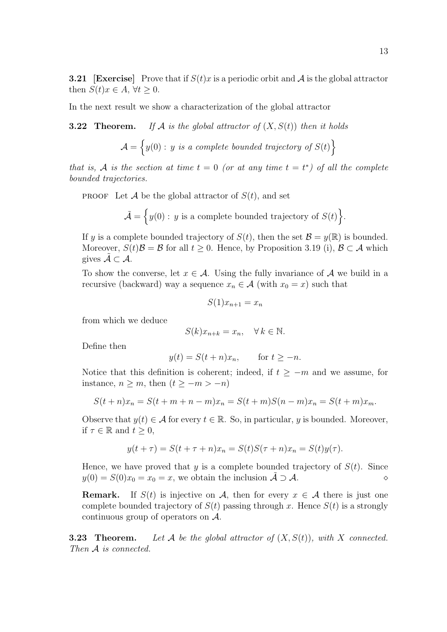**3.21** [Exercise] Prove that if  $S(t)x$  is a periodic orbit and A is the global attractor then  $S(t)x \in A$ ,  $\forall t \geq 0$ .

In the next result we show a characterization of the global attractor

**3.22 Theorem.** If A is the global attractor of  $(X, S(t))$  then it holds

$$
\mathcal{A} = \left\{ y(0) : y \text{ is a complete bounded trajectory of } S(t) \right\}
$$

that is, A is the section at time  $t = 0$  (or at any time  $t = t^*$ ) of all the complete bounded trajectories.

**PROOF** Let A be the global attractor of  $S(t)$ , and set

$$
\tilde{\mathcal{A}} = \Big\{ y(0) : y \text{ is a complete bounded trajectory of } S(t) \Big\}.
$$

If y is a complete bounded trajectory of  $S(t)$ , then the set  $\mathcal{B} = y(\mathbb{R})$  is bounded. Moreover,  $S(t)\mathcal{B} = \mathcal{B}$  for all  $t \geq 0$ . Hence, by Proposition 3.19 (i),  $\mathcal{B} \subset \mathcal{A}$  which gives  $\tilde{\mathcal{A}} \subset \mathcal{A}$ .

To show the converse, let  $x \in \mathcal{A}$ . Using the fully invariance of  $\mathcal A$  we build in a recursive (backward) way a sequence  $x_n \in \mathcal{A}$  (with  $x_0 = x$ ) such that

$$
S(1)x_{n+1} = x_n
$$

from which we deduce

$$
S(k)x_{n+k} = x_n, \quad \forall k \in \mathbb{N}.
$$

Define then

$$
y(t) = S(t+n)x_n, \quad \text{for } t \ge -n.
$$

Notice that this definition is coherent; indeed, if  $t \geq -m$  and we assume, for instance,  $n \geq m$ , then  $(t \geq -m > -n)$ 

$$
S(t + n)x_n = S(t + m + n - m)x_n = S(t + m)S(n - m)x_n = S(t + m)x_m.
$$

Observe that  $y(t) \in \mathcal{A}$  for every  $t \in \mathbb{R}$ . So, in particular, y is bounded. Moreover, if  $\tau \in \mathbb{R}$  and  $t \geq 0$ ,

$$
y(t + \tau) = S(t + \tau + n)x_n = S(t)S(\tau + n)x_n = S(t)y(\tau).
$$

Hence, we have proved that y is a complete bounded trajectory of  $S(t)$ . Since  $y(0) = S(0)x_0 = x_0 = x$ , we obtain the inclusion  $\mathcal{A} \supset \mathcal{A}$ .

**Remark.** If  $S(t)$  is injective on A, then for every  $x \in A$  there is just one complete bounded trajectory of  $S(t)$  passing through x. Hence  $S(t)$  is a strongly continuous group of operators on A.

**3.23 Theorem.** Let A be the global attractor of  $(X, S(t))$ , with X connected. Then A is connected.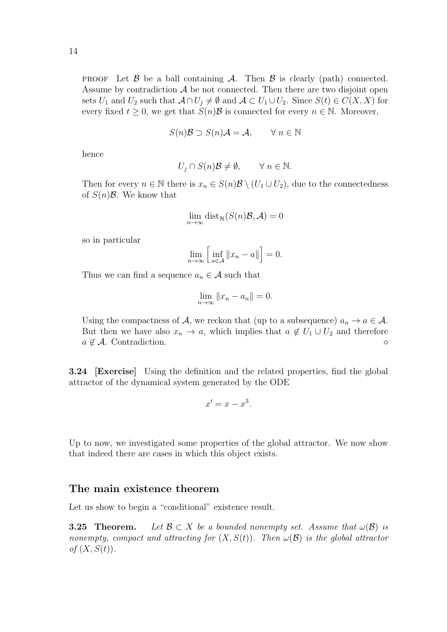**PROOF** Let  $\beta$  be a ball containing  $\mathcal{A}$ . Then  $\beta$  is clearly (path) connected. Assume by contradiction  $A$  be not connected. Then there are two disjoint open sets  $U_1$  and  $U_2$  such that  $\mathcal{A} \cap U_j \neq \emptyset$  and  $\mathcal{A} \subset U_1 \cup U_2$ . Since  $S(t) \in C(X, X)$  for every fixed  $t > 0$ , we get that  $S(n)\mathcal{B}$  is connected for every  $n \in \mathbb{N}$ . Moreover,

$$
S(n)\mathcal{B} \supset S(n)\mathcal{A} = \mathcal{A}, \qquad \forall n \in \mathbb{N}
$$

hence

$$
U_j \cap S(n)\mathcal{B} \neq \emptyset, \qquad \forall n \in \mathbb{N}.
$$

Then for every  $n \in \mathbb{N}$  there is  $x_n \in S(n)\mathcal{B} \setminus (U_1 \cup U_2)$ , due to the connectedness of  $S(n)\mathcal{B}$ . We know that

$$
\lim_{n \to \infty} \text{dist}_{\mathcal{H}}(S(n)\mathcal{B}, \mathcal{A}) = 0
$$

so in particular

$$
\lim_{n \to \infty} \left[ \inf_{a \in \mathcal{A}} \|x_n - a\| \right] = 0.
$$

Thus we can find a sequence  $a_n \in \mathcal{A}$  such that

$$
\lim_{n \to \infty} ||x_n - a_n|| = 0.
$$

Using the compactness of A, we reckon that (up to a subsequence)  $a_n \to a \in \mathcal{A}$ . But then we have also  $x_n \to a$ , which implies that  $a \notin U_1 \cup U_2$  and therefore  $a \notin \mathcal{A}$ . Contradiction.

3.24 [Exercise] Using the definition and the related properties, find the global attractor of the dynamical system generated by the ODE

$$
x' = x - x^3.
$$

Up to now, we investigated some properties of the global attractor. We now show that indeed there are cases in which this object exists.

#### The main existence theorem

Let us show to begin a "conditional" existence result.

**3.25 Theorem.** Let  $\mathcal{B} \subset X$  be a bounded nonempty set. Assume that  $\omega(\mathcal{B})$  is nonempty, compact and attracting for  $(X, S(t))$ . Then  $\omega(\mathcal{B})$  is the global attractor of  $(X, S(t))$ .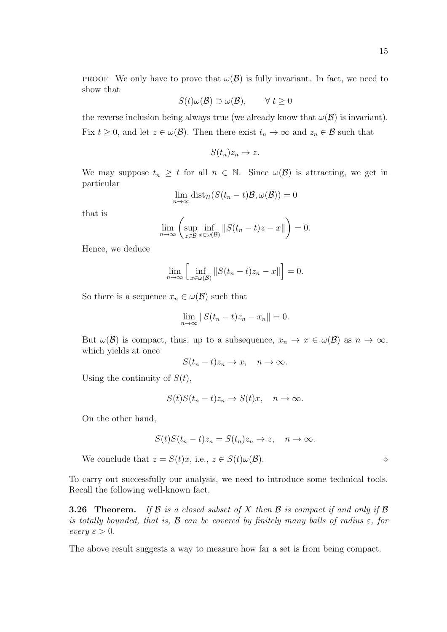**PROOF** We only have to prove that  $\omega(\mathcal{B})$  is fully invariant. In fact, we need to show that

$$
S(t)\omega(\mathcal{B}) \supset \omega(\mathcal{B}), \qquad \forall \ t \ge 0
$$

the reverse inclusion being always true (we already know that  $\omega(\mathcal{B})$  is invariant). Fix  $t \geq 0$ , and let  $z \in \omega(\mathcal{B})$ . Then there exist  $t_n \to \infty$  and  $z_n \in \mathcal{B}$  such that

$$
S(t_n)z_n\to z.
$$

We may suppose  $t_n \geq t$  for all  $n \in \mathbb{N}$ . Since  $\omega(\mathcal{B})$  is attracting, we get in particular

$$
\lim_{n \to \infty} \text{dist}_{\mathcal{H}}(S(t_n - t)\mathcal{B}, \omega(\mathcal{B})) = 0
$$

that is

$$
\lim_{n \to \infty} \left( \sup_{z \in \mathcal{B}} \inf_{x \in \omega(\mathcal{B})} \| S(t_n - t)z - x \| \right) = 0.
$$

Hence, we deduce

$$
\lim_{n \to \infty} \left[ \inf_{x \in \omega(\mathcal{B})} \| S(t_n - t) z_n - x \| \right] = 0.
$$

So there is a sequence  $x_n \in \omega(\mathcal{B})$  such that

$$
\lim_{n \to \infty} ||S(t_n - t)z_n - x_n|| = 0.
$$

But  $\omega(\mathcal{B})$  is compact, thus, up to a subsequence,  $x_n \to x \in \omega(\mathcal{B})$  as  $n \to \infty$ , which yields at once

$$
S(t_n - t)z_n \to x, \quad n \to \infty.
$$

Using the continuity of  $S(t)$ ,

$$
S(t)S(t_n-t)z_n \to S(t)x, \quad n \to \infty.
$$

On the other hand,

$$
S(t)S(t_n - t)z_n = S(t_n)z_n \to z, \quad n \to \infty.
$$

We conclude that  $z = S(t)x$ , i.e.,  $z \in S(t)\omega(\mathcal{B})$ .

To carry out successfully our analysis, we need to introduce some technical tools. Recall the following well-known fact.

**3.26 Theorem.** If  $\beta$  is a closed subset of  $X$  then  $\beta$  is compact if and only if  $\beta$ is totally bounded, that is,  $\beta$  can be covered by finitely many balls of radius  $\varepsilon$ , for every  $\varepsilon > 0$ .

The above result suggests a way to measure how far a set is from being compact.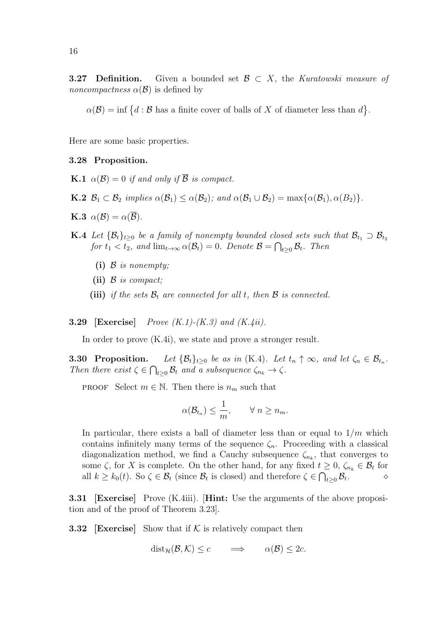**3.27 Definition.** Given a bounded set  $\mathcal{B} \subset X$ , the Kuratowski measure of *noncompactness*  $\alpha(\mathcal{B})$  is defined by

 $\alpha(\mathcal{B}) = \inf \{d : \mathcal{B}$  has a finite cover of balls of X of diameter less than  $d\}.$ 

Here are some basic properties.

#### 3.28 Proposition.

- **K.1**  $\alpha(\mathcal{B}) = 0$  if and only if  $\overline{\mathcal{B}}$  is compact.
- **K.2**  $\mathcal{B}_1 \subset \mathcal{B}_2$  implies  $\alpha(\mathcal{B}_1) \leq \alpha(\mathcal{B}_2)$ ; and  $\alpha(\mathcal{B}_1 \cup \mathcal{B}_2) = \max{\alpha(\mathcal{B}_1), \alpha(\mathcal{B}_2)}$ .
- **K.3**  $\alpha(\mathcal{B}) = \alpha(\overline{\mathcal{B}})$ .
- **K.4** Let  $\{\mathcal{B}_t\}_{t\geq0}$  be a family of nonempty bounded closed sets such that  $\mathcal{B}_{t_1} \supset \mathcal{B}_{t_2}$ for  $t_1 < t_2$ , and  $\lim_{t \to \infty} \alpha(\mathcal{B}_t) = 0$ . Denote  $\mathcal{B} = \bigcap_{t \geq 0} \mathcal{B}_t$ . Then
	- (i)  $\beta$  is nonempty;
	- (ii)  $\beta$  is compact;
	- (iii) if the sets  $\mathcal{B}_t$  are connected for all t, then  $\mathcal B$  is connected.

**3.29** [Exercise] Prove  $(K.1)$ - $(K.3)$  and  $(K.4ii)$ .

In order to prove (K.4i), we state and prove a stronger result.

**3.30 Proposition.** Let  $\{\mathcal{B}_t\}_{t\geq 0}$  be as in (K.4). Let  $t_n \uparrow \infty$ , and let  $\zeta_n \in \mathcal{B}_{t_n}$ . Then there exist  $\zeta \in \bigcap_{t \geq 0} \mathcal{B}_t$  and a subsequence  $\zeta_{n_k} \to \zeta$ .

**PROOF** Select  $m \in \mathbb{N}$ . Then there is  $n_m$  such that

$$
\alpha(\mathcal{B}_{t_n}) \leq \frac{1}{m}, \qquad \forall \ n \geq n_m.
$$

In particular, there exists a ball of diameter less than or equal to  $1/m$  which contains infinitely many terms of the sequence  $\zeta_n$ . Proceeding with a classical diagonalization method, we find a Cauchy subsequence  $\zeta_{n_k}$ , that converges to some  $\zeta$ , for X is complete. On the other hand, for any fixed  $t \geq 0$ ,  $\zeta_{n_k} \in \mathcal{B}_t$  for all  $k \geq k_0(t)$ . So  $\zeta \in \mathcal{B}_t$  (since  $\mathcal{B}_t$  is closed) and therefore  $\zeta \in \bigcap_{t \geq 0} \mathcal{B}_t$ .

3.31 [Exercise] Prove (K.4iii). [Hint: Use the arguments of the above proposition and of the proof of Theorem 3.23].

**3.32** [Exercise] Show that if  $K$  is relatively compact then

$$
dist_{\mathcal{H}}(\mathcal{B}, \mathcal{K}) \leq c \qquad \Longrightarrow \qquad \alpha(\mathcal{B}) \leq 2c.
$$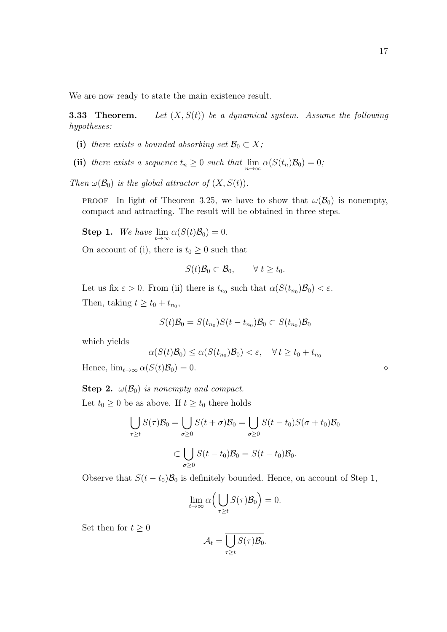We are now ready to state the main existence result.

**3.33 Theorem.** Let  $(X, S(t))$  be a dynamical system. Assume the following hypotheses:

- (i) there exists a bounded absorbing set  $\mathcal{B}_0 \subset X$ ;
- (ii) there exists a sequence  $t_n \geq 0$  such that  $\lim_{n \to \infty} \alpha(S(t_n)B_0) = 0$ ;

Then  $\omega(\mathcal{B}_0)$  is the global attractor of  $(X, S(t))$ .

**PROOF** In light of Theorem 3.25, we have to show that  $\omega(\mathcal{B}_0)$  is nonempty, compact and attracting. The result will be obtained in three steps.

**Step 1.** We have  $\lim_{t \to \infty} \alpha(S(t)B_0) = 0.$ 

On account of (i), there is  $t_0 \geq 0$  such that

$$
S(t)\mathcal{B}_0 \subset \mathcal{B}_0, \qquad \forall t \geq t_0.
$$

Let us fix  $\varepsilon > 0$ . From (ii) there is  $t_{n_0}$  such that  $\alpha(S(t_{n_0})B_0) < \varepsilon$ . Then, taking  $t \ge t_0 + t_{n_0}$ ,

$$
S(t)\mathcal{B}_0 = S(t_{n_0})S(t - t_{n_0})\mathcal{B}_0 \subset S(t_{n_0})\mathcal{B}_0
$$

which yields

$$
\alpha(S(t)\mathcal{B}_0) \le \alpha(S(t_{n_0})\mathcal{B}_0) < \varepsilon, \quad \forall \, t \ge t_0 + t_{n_0}
$$

Hence,  $\lim_{t\to\infty} \alpha(S(t)\mathcal{B}_0) = 0.$ 

**Step 2.**  $\omega(\mathcal{B}_0)$  is nonempty and compact.

Let  $t_0 \geq 0$  be as above. If  $t \geq t_0$  there holds

$$
\bigcup_{\tau \ge t} S(\tau) \mathcal{B}_0 = \bigcup_{\sigma \ge 0} S(t + \sigma) \mathcal{B}_0 = \bigcup_{\sigma \ge 0} S(t - t_0) S(\sigma + t_0) \mathcal{B}_0
$$

$$
\subset \bigcup_{\sigma \ge 0} S(t - t_0) \mathcal{B}_0 = S(t - t_0) \mathcal{B}_0.
$$

Observe that  $S(t - t_0)\mathcal{B}_0$  is definitely bounded. Hence, on account of Step 1,

$$
\lim_{t \to \infty} \alpha \Big( \bigcup_{\tau \ge t} S(\tau) \mathcal{B}_0 \Big) = 0.
$$

Set then for  $t \geq 0$ 

$$
\mathcal{A}_t = \overline{\bigcup_{\tau \geq t} S(\tau) \mathcal{B}_0}.
$$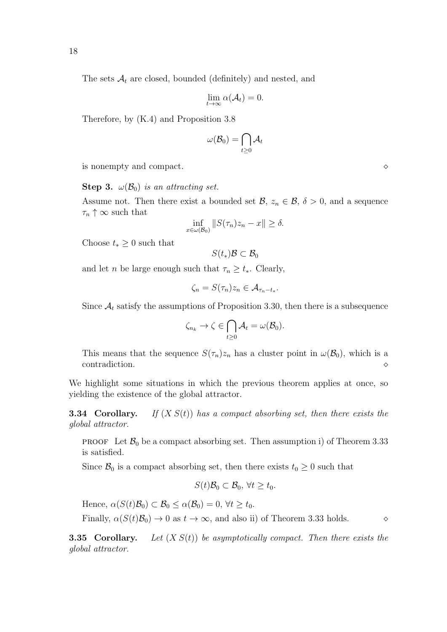The sets  $A_t$  are closed, bounded (definitely) and nested, and

$$
\lim_{t\to\infty}\alpha(\mathcal{A}_t)=0.
$$

Therefore, by (K.4) and Proposition 3.8

$$
\omega(\mathcal{B}_0)=\bigcap_{t\geq 0}\mathcal{A}_t
$$

is nonempty and compact.

**Step 3.**  $\omega(\mathcal{B}_0)$  is an attracting set.

Assume not. Then there exist a bounded set  $\mathcal{B}, z_n \in \mathcal{B}, \delta > 0$ , and a sequence  $\tau_n \uparrow \infty$  such that

$$
\inf_{x \in \omega(\mathcal{B}_0)} \|S(\tau_n)z_n - x\| \ge \delta.
$$

Choose  $t_* \geq 0$  such that

$$
S(t_*)\mathcal{B}\subset \mathcal{B}_0
$$

and let *n* be large enough such that  $\tau_n \geq t_*$ . Clearly,

$$
\zeta_n = S(\tau_n) z_n \in \mathcal{A}_{\tau_n - t_*}.
$$

Since  $A_t$  satisfy the assumptions of Proposition 3.30, then there is a subsequence

$$
\zeta_{n_k} \to \zeta \in \bigcap_{t \geq 0} A_t = \omega(\mathcal{B}_0).
$$

This means that the sequence  $S(\tau_n)z_n$  has a cluster point in  $\omega(\mathcal{B}_0)$ , which is a contradiction.

We highlight some situations in which the previous theorem applies at once, so yielding the existence of the global attractor.

**3.34 Corollary.** If  $(X S(t))$  has a compact absorbing set, then there exists the global attractor.

**PROOF** Let  $\mathcal{B}_0$  be a compact absorbing set. Then assumption i) of Theorem 3.33 is satisfied.

Since  $\mathcal{B}_0$  is a compact absorbing set, then there exists  $t_0 \geq 0$  such that

$$
S(t)\mathcal{B}_0 \subset \mathcal{B}_0, \,\forall t \geq t_0.
$$

Hence,  $\alpha(S(t)\mathcal{B}_0) \subset \mathcal{B}_0 \leq \alpha(\mathcal{B}_0) = 0, \forall t \geq t_0$ .

Finally,  $\alpha(S(t)\mathcal{B}_0) \to 0$  as  $t \to \infty$ , and also ii) of Theorem 3.33 holds.  $\diamond$ 

**3.35 Corollary.** Let  $(X S(t))$  be asymptotically compact. Then there exists the global attractor.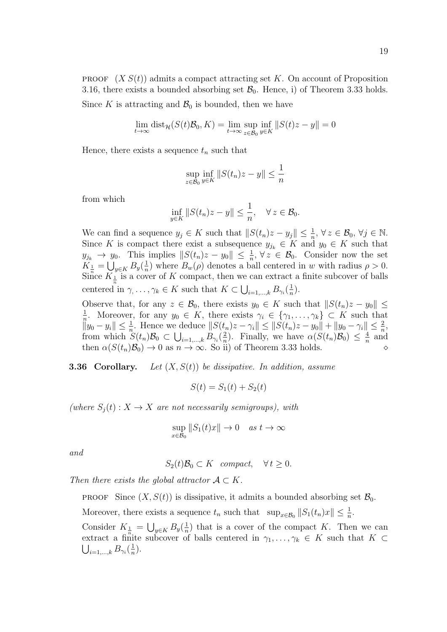**PROOF**  $(X S(t))$  admits a compact attracting set K. On account of Proposition 3.16, there exists a bounded absorbing set  $\mathcal{B}_0$ . Hence, i) of Theorem 3.33 holds.

Since K is attracting and  $\mathcal{B}_0$  is bounded, then we have

$$
\lim_{t \to \infty} \text{dist}_{\mathcal{H}}(S(t)\mathcal{B}_0, K) = \lim_{t \to \infty} \sup_{z \in \mathcal{B}_0} \inf_{y \in K} ||S(t)z - y|| = 0
$$

Hence, there exists a sequence  $t_n$  such that

$$
\sup_{z \in \mathcal{B}_0} \inf_{y \in K} \|S(t_n)z - y\| \le \frac{1}{n}
$$

from which

$$
\inf_{y \in K} ||S(t_n)z - y|| \le \frac{1}{n}, \quad \forall z \in \mathcal{B}_0.
$$

We can find a sequence  $y_j \in K$  such that  $||S(t_n)z - y_j|| \leq \frac{1}{n}, \forall z \in \mathcal{B}_0, \forall j \in \mathbb{N}$ . Since K is compact there exist a subsequence  $y_{j_k} \in K$  and  $y_0 \in K$  such that  $y_{j_k} \to y_0$ . This implies  $||S(t_n)z - y_0|| \leq \frac{1}{n}, \forall z \in \mathcal{B}_0$ . Consider now the set  $K_{\frac{1}{n}} = \bigcup_{y \in K} B_y(\frac{1}{n})$  $\frac{1}{n}$ ) where  $B_w(\rho)$  denotes a ball centered in w with radius  $\rho > 0$ . Since  $K_{\frac{1}{n}}$  is a cover of K compact, then we can extract a finite subcover of balls centered in  $\gamma, \ldots, \gamma_k \in K$  such that  $K \subset \bigcup_{i=1,\ldots,k} B_{\gamma_i}(\frac{1}{n})$  $\frac{1}{n}$ .

Observe that, for any  $z \in \mathcal{B}_0$ , there exists  $y_0 \in K$  such that  $||S(t_n)z - y_0|| \le$ 1 <sup>1</sup>/<sub>n</sub>. Moreover, for any  $y_0 \in K$ , there exists  $\gamma_i \in \{\gamma_1, \ldots, \gamma_k\} \subset K$  such that  $||y_0 - y_i|| \leq \frac{1}{n}$ . Hence we deduce  $||S(t_n)z - \gamma_i|| \leq ||S(t_n)z - y_0|| + ||y_0 - \gamma_i|| \leq \frac{2}{n}$ , from which  $S(t_n)\mathcal{B}_0 \subset \bigcup_{i=1,\dots,k} B_{\gamma_i}(\frac{2}{n})$  $\frac{2}{n}$ ). Finally, we have  $\alpha(S(t_n)\mathcal{B}_0) \leq \frac{4}{n}$  $\frac{4}{n}$  and then  $\alpha(S(t_n)\mathcal{B}_0) \to 0$  as  $n \to \infty$ . So ii) of Theorem 3.33 holds.

**3.36 Corollary.** Let  $(X, S(t))$  be dissipative. In addition, assume

$$
S(t) = S_1(t) + S_2(t)
$$

(where  $S_i(t): X \to X$  are not necessarily semigroups), with

$$
\sup_{x \in \mathcal{B}_0} ||S_1(t)x|| \to 0 \quad as \ t \to \infty
$$

and

$$
S_2(t)\mathcal{B}_0 \subset K \quad compact, \quad \forall t \ge 0.
$$

Then there exists the global attractor  $A \subset K$ .

**PROOF** Since  $(X, S(t))$  is dissipative, it admits a bounded absorbing set  $\mathcal{B}_0$ .

Moreover, there exists a sequence  $t_n$  such that  $\sup_{x \in \mathcal{B}_0} ||S_1(t_n)x|| \leq \frac{1}{n}$ .

Consider  $K_{\frac{1}{n}} = \bigcup_{y \in K} B_y(\frac{1}{n})$  $\frac{1}{n}$ ) that is a cover of the compact K. Then we can extract a finite subcover of balls centered in  $\gamma_1, \ldots, \gamma_k \in K$  such that  $K \subset$  $\bigcup_{i=1,...,k} B_{\gamma_i}(\frac{1}{n}$  $\frac{1}{n}$ .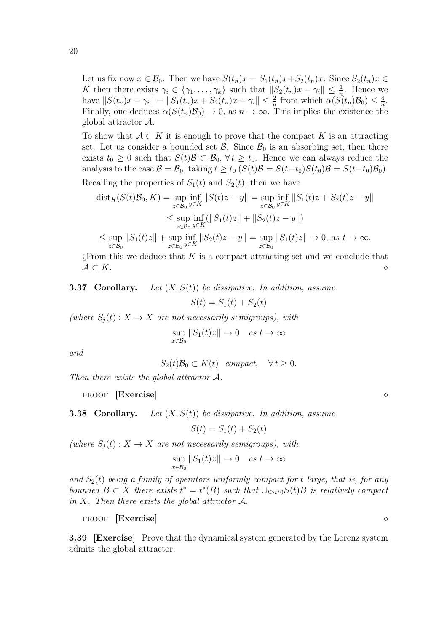20

Let us fix now  $x \in \mathcal{B}_0$ . Then we have  $S(t_n)x = S_1(t_n)x + S_2(t_n)x$ . Since  $S_2(t_n)x \in$ K then there exists  $\gamma_i \in \{\gamma_1, \ldots, \gamma_k\}$  such that  $\|S_2(t_n)x - \gamma_i\| \leq \frac{1}{n}$ . Hence we have  $||S(t_n)x - \gamma_i|| = ||S_1(t_n)x + S_2(t_n)x - \gamma_i|| \leq \frac{2}{n}$  from which  $\alpha(\hat{S(t_n)}B_0) \leq \frac{4}{n}$  $\frac{4}{n}$ . Finally, one deduces  $\alpha(S(t_n)\mathcal{B}_0) \to 0$ , as  $n \to \infty$ . This implies the existence the global attractor A.

To show that  $A \subset K$  it is enough to prove that the compact K is an attracting set. Let us consider a bounded set  $\mathcal{B}$ . Since  $\mathcal{B}_0$  is an absorbing set, then there exists  $t_0 \geq 0$  such that  $S(t)\mathcal{B} \subset \mathcal{B}_0$ ,  $\forall t \geq t_0$ . Hence we can always reduce the analysis to the case  $\mathcal{B} = \mathcal{B}_0$ , taking  $t \ge t_0$   $(S(t)\mathcal{B} = S(t-t_0)S(t_0)\mathcal{B} = S(t-t_0)\mathcal{B}_0$ . Recalling the properties of  $S_1(t)$  and  $S_2(t)$ , then we have

$$
\text{dist}_{\mathcal{H}}(S(t)\mathcal{B}_{0}, K) = \sup_{z \in \mathcal{B}_{0}} \inf_{y \in K} ||S(t)z - y|| = \sup_{z \in \mathcal{B}_{0}} \inf_{y \in K} ||S_{1}(t)z + S_{2}(t)z - y||
$$
  

$$
\leq \sup_{z \in \mathcal{B}_{0}} \inf_{y \in K} (||S_{1}(t)z|| + ||S_{2}(t)z - y||)
$$
  

$$
\leq \sup_{z \in \mathcal{B}_{0}} ||S_{1}(t)z|| + \sup_{z \in \mathcal{B}_{0}} \inf_{y \in K} ||S_{2}(t)z - y|| = \sup_{z \in \mathcal{B}_{0}} ||S_{1}(t)z|| \to 0, \text{ as } t \to \infty.
$$

 $E$ . External this we deduce that K is a compact attracting set and we conclude that  $\mathcal{A} \subset K$ .

**3.37 Corollary.** Let  $(X, S(t))$  be dissipative. In addition, assume

$$
S(t) = S_1(t) + S_2(t)
$$

(where  $S_i(t)$  :  $X \to X$  are not necessarily semigroups), with

sup  $x \in \mathcal{B}_0$  $||S_1(t)x|| \to 0 \quad as \ t \to \infty$ 

and

$$
S_2(t)\mathcal{B}_0 \subset K(t) \quad compact, \quad \forall t \ge 0.
$$

Then there exists the global attractor A.

proof [Exercise]  $\Diamond$ 

**3.38 Corollary.** Let  $(X, S(t))$  be dissipative. In addition, assume

$$
S(t) = S_1(t) + S_2(t)
$$

(where  $S_i(t)$  :  $X \to X$  are not necessarily semigroups), with

$$
\sup_{x \in \mathcal{B}_0} ||S_1(t)x|| \to 0 \quad as \ t \to \infty
$$

and  $S_2(t)$  being a family of operators uniformly compact for t large, that is, for any bounded  $B \subset X$  there exists  $t^* = t^*(B)$  such that  $\cup_{t \geq t^*0} S(t)B$  is relatively compact in X. Then there exists the global attractor  $A$ .

proof [Exercise]  $\Diamond$ 

3.39 [Exercise] Prove that the dynamical system generated by the Lorenz system admits the global attractor.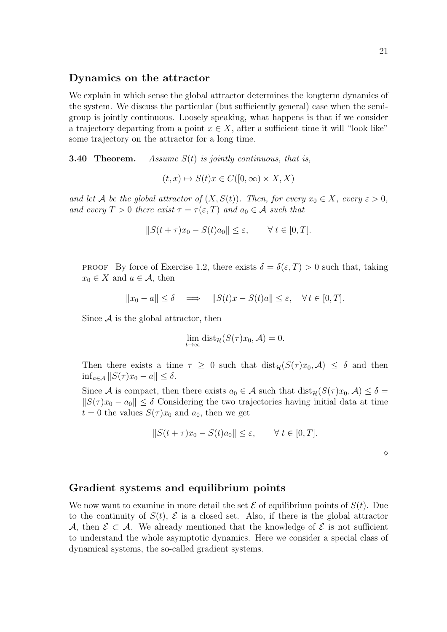#### Dynamics on the attractor

We explain in which sense the global attractor determines the longterm dynamics of the system. We discuss the particular (but sufficiently general) case when the semigroup is jointly continuous. Loosely speaking, what happens is that if we consider a trajectory departing from a point  $x \in X$ , after a sufficient time it will "look like" some trajectory on the attractor for a long time.

**3.40 Theorem.** Assume  $S(t)$  is jointly continuous, that is,

 $(t, x) \mapsto S(t)x \in C([0, \infty) \times X, X)$ 

and let A be the global attractor of  $(X, S(t))$ . Then, for every  $x_0 \in X$ , every  $\varepsilon > 0$ , and every  $T > 0$  there exist  $\tau = \tau(\varepsilon, T)$  and  $a_0 \in \mathcal{A}$  such that

$$
||S(t + \tau)x_0 - S(t)a_0|| \le \varepsilon, \qquad \forall \ t \in [0, T].
$$

**PROOF** By force of Exercise 1.2, there exists  $\delta = \delta(\varepsilon, T) > 0$  such that, taking  $x_0 \in X$  and  $a \in \mathcal{A}$ , then

$$
||x_0 - a|| \le \delta \quad \Longrightarrow \quad ||S(t)x - S(t)a|| \le \varepsilon, \quad \forall \, t \in [0, T].
$$

Since  $A$  is the global attractor, then

$$
\lim_{t \to \infty} \text{dist}_{\mathcal{H}}(S(\tau)x_0, \mathcal{A}) = 0.
$$

Then there exists a time  $\tau \geq 0$  such that  $dist_{\mathcal{H}}(S(\tau)x_0, \mathcal{A}) \leq \delta$  and then  $\inf_{a \in \mathcal{A}} ||S(\tau)x_0 - a|| \leq \delta.$ 

Since A is compact, then there exists  $a_0 \in \mathcal{A}$  such that  $dist_{\mathcal{H}}(S(\tau)x_0, \mathcal{A}) \leq \delta =$  $||S(\tau)x_0 - a_0|| \leq \delta$  Considering the two trajectories having initial data at time  $t = 0$  the values  $S(\tau)x_0$  and  $a_0$ , then we get

$$
||S(t+\tau)x_0 - S(t)a_0|| \le \varepsilon, \qquad \forall \ t \in [0, T].
$$

 $\Diamond$ 

#### Gradient systems and equilibrium points

We now want to examine in more detail the set  $\mathcal E$  of equilibrium points of  $S(t)$ . Due to the continuity of  $S(t)$ ,  $\mathcal E$  is a closed set. Also, if there is the global attractor A, then  $\mathcal{E} \subset \mathcal{A}$ . We already mentioned that the knowledge of  $\mathcal{E}$  is not sufficient to understand the whole asymptotic dynamics. Here we consider a special class of dynamical systems, the so-called gradient systems.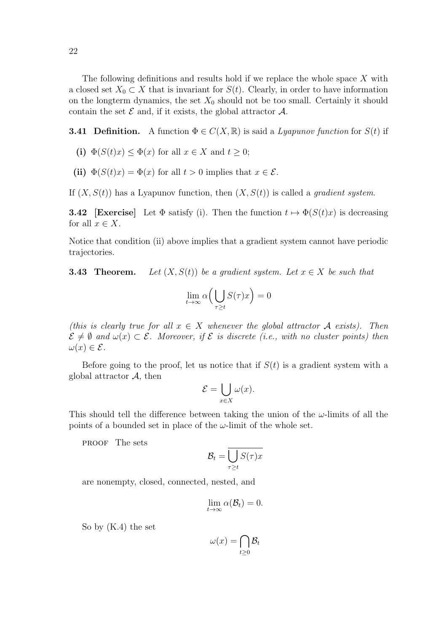The following definitions and results hold if we replace the whole space X with a closed set  $X_0 \subset X$  that is invariant for  $S(t)$ . Clearly, in order to have information on the longterm dynamics, the set  $X_0$  should not be too small. Certainly it should contain the set  $\mathcal E$  and, if it exists, the global attractor  $\mathcal A$ .

**3.41 Definition.** A function  $\Phi \in C(X, \mathbb{R})$  is said a *Lyapunov function* for  $S(t)$  if

- (i)  $\Phi(S(t)x) \leq \Phi(x)$  for all  $x \in X$  and  $t \geq 0$ ;
- (ii)  $\Phi(S(t)x) = \Phi(x)$  for all  $t > 0$  implies that  $x \in \mathcal{E}$ .

If  $(X, S(t))$  has a Lyapunov function, then  $(X, S(t))$  is called a *gradient system*.

**3.42** [Exercise] Let  $\Phi$  satisfy (i). Then the function  $t \mapsto \Phi(S(t)x)$  is decreasing for all  $x \in X$ .

Notice that condition (ii) above implies that a gradient system cannot have periodic trajectories.

**3.43** Theorem. Let  $(X, S(t))$  be a gradient system. Let  $x \in X$  be such that

$$
\lim_{t \to \infty} \alpha \left( \bigcup_{\tau \ge t} S(\tau) x \right) = 0
$$

(this is clearly true for all  $x \in X$  whenever the global attractor A exists). Then  $\mathcal{E} \neq \emptyset$  and  $\omega(x) \subset \mathcal{E}$ . Moreover, if  $\mathcal{E}$  is discrete (i.e., with no cluster points) then  $\omega(x) \in \mathcal{E}.$ 

Before going to the proof, let us notice that if  $S(t)$  is a gradient system with a global attractor  $A$ , then

$$
\mathcal{E} = \bigcup_{x \in X} \omega(x).
$$

This should tell the difference between taking the union of the  $\omega$ -limits of all the points of a bounded set in place of the  $\omega$ -limit of the whole set.

proof The sets

$$
\mathcal{B}_t = \overline{\bigcup_{\tau \geq t} S(\tau) x}
$$

are nonempty, closed, connected, nested, and

$$
\lim_{t\to\infty}\alpha(\mathcal{B}_t)=0.
$$

So by (K.4) the set

$$
\omega(x) = \bigcap_{t \geq 0} \mathcal{B}_t
$$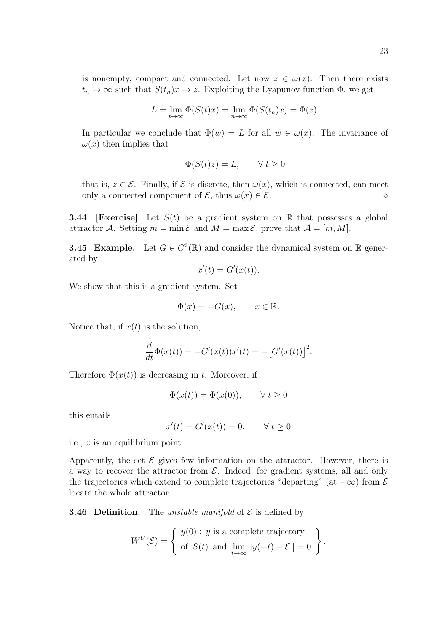is nonempty, compact and connected. Let now  $z \in \omega(x)$ . Then there exists  $t_n \to \infty$  such that  $S(t_n)x \to z$ . Exploiting the Lyapunov function  $\Phi$ , we get

$$
L = \lim_{t \to \infty} \Phi(S(t)x) = \lim_{n \to \infty} \Phi(S(t_n)x) = \Phi(z).
$$

In particular we conclude that  $\Phi(w) = L$  for all  $w \in \omega(x)$ . The invariance of  $\omega(x)$  then implies that

$$
\Phi(S(t)z) = L, \qquad \forall \ t \ge 0
$$

that is,  $z \in \mathcal{E}$ . Finally, if  $\mathcal E$  is discrete, then  $\omega(x)$ , which is connected, can meet only a connected component of  $\mathcal{E}$ , thus  $\omega(x) \in \mathcal{E}$ .

**3.44** [Exercise] Let  $S(t)$  be a gradient system on R that possesses a global attractor A. Setting  $m = \min \mathcal{E}$  and  $M = \max \mathcal{E}$ , prove that  $\mathcal{A} = [m, M]$ .

**3.45 Example.** Let  $G \in C^2(\mathbb{R})$  and consider the dynamical system on  $\mathbb{R}$  generated by

$$
x'(t) = G'(x(t)).
$$

We show that this is a gradient system. Set

$$
\Phi(x) = -G(x), \qquad x \in \mathbb{R}.
$$

Notice that, if  $x(t)$  is the solution,

$$
\frac{d}{dt}\Phi(x(t)) = -G'(x(t))x'(t) = -[G'(x(t))]^{2}.
$$

Therefore  $\Phi(x(t))$  is decreasing in t. Moreover, if

$$
\Phi(x(t)) = \Phi(x(0)), \qquad \forall \ t \ge 0
$$

this entails

$$
x'(t) = G'(x(t)) = 0, \qquad \forall \ t \ge 0
$$

i.e.,  $x$  is an equilibrium point.

Apparently, the set  $\mathcal E$  gives few information on the attractor. However, there is a way to recover the attractor from  $\mathcal{E}$ . Indeed, for gradient systems, all and only the trajectories which extend to complete trajectories "departing" (at  $-\infty$ ) from  $\mathcal E$ locate the whole attractor.

**3.46 Definition.** The *unstable manifold* of  $\mathcal{E}$  is defined by

$$
W^{U}(\mathcal{E}) = \begin{cases} y(0) : y \text{ is a complete trajectory} \\ \text{of } S(t) \text{ and } \lim_{t \to \infty} ||y(-t) - \mathcal{E}|| = 0 \end{cases}.
$$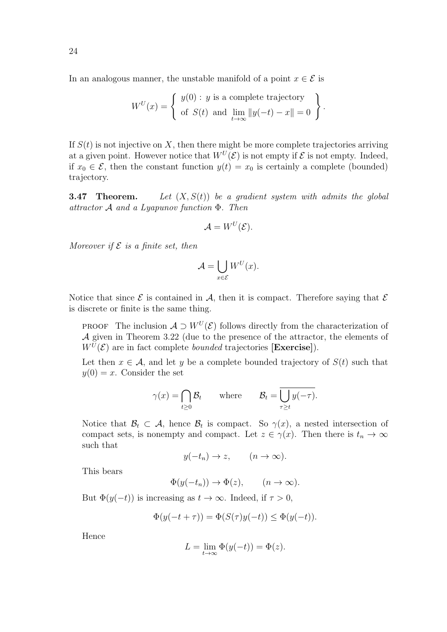In an analogous manner, the unstable manifold of a point  $x \in \mathcal{E}$  is

$$
W^{U}(x) = \begin{cases} y(0) : y \text{ is a complete trajectory} \\ \text{of } S(t) \text{ and } \lim_{t \to \infty} ||y(-t) - x|| = 0 \end{cases}.
$$

If  $S(t)$  is not injective on X, then there might be more complete trajectories arriving at a given point. However notice that  $W^U(\mathcal{E})$  is not empty if  $\mathcal E$  is not empty. Indeed, if  $x_0 \in \mathcal{E}$ , then the constant function  $y(t) = x_0$  is certainly a complete (bounded) trajectory.

**3.47** Theorem. Let  $(X, S(t))$  be a gradient system with admits the global attractor  $A$  and a Lyapunov function  $\Phi$ . Then

$$
\mathcal{A} = W^U(\mathcal{E}).
$$

Moreover if  $\mathcal E$  is a finite set, then

$$
\mathcal{A} = \bigcup_{x \in \mathcal{E}} W^U(x).
$$

Notice that since  $\mathcal E$  is contained in  $\mathcal A$ , then it is compact. Therefore saying that  $\mathcal E$ is discrete or finite is the same thing.

PROOF The inclusion  $A \supset W^U(\mathcal{E})$  follows directly from the characterization of A given in Theorem 3.22 (due to the presence of the attractor, the elements of  $W^{U}(\mathcal{E})$  are in fact complete *bounded* trajectories [Exercise]).

Let then  $x \in A$ , and let y be a complete bounded trajectory of  $S(t)$  such that  $y(0) = x$ . Consider the set

$$
\gamma(x) = \bigcap_{t \ge 0} \mathcal{B}_t
$$
 where  $\mathcal{B}_t = \overline{\bigcup_{\tau \ge t} y(-\tau)}$ .

Notice that  $\mathcal{B}_t \subset \mathcal{A}$ , hence  $\mathcal{B}_t$  is compact. So  $\gamma(x)$ , a nested intersection of compact sets, is nonempty and compact. Let  $z \in \gamma(x)$ . Then there is  $t_n \to \infty$ such that

$$
y(-t_n) \to z
$$
,  $(n \to \infty)$ .

This bears

$$
\Phi(y(-t_n)) \to \Phi(z), \qquad (n \to \infty).
$$

But  $\Phi(y(-t))$  is increasing as  $t \to \infty$ . Indeed, if  $\tau > 0$ ,

$$
\Phi(y(-t+\tau)) = \Phi(S(\tau)y(-t)) \le \Phi(y(-t)).
$$

Hence

$$
L = \lim_{t \to \infty} \Phi(y(-t)) = \Phi(z).
$$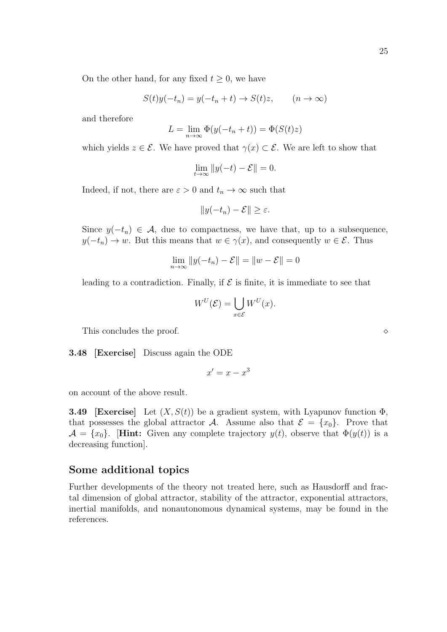On the other hand, for any fixed  $t \geq 0$ , we have

$$
S(t)y(-t_n) = y(-t_n + t) \to S(t)z, \qquad (n \to \infty)
$$

and therefore

$$
L = \lim_{n \to \infty} \Phi(y(-t_n + t)) = \Phi(S(t)z)
$$

which yields  $z \in \mathcal{E}$ . We have proved that  $\gamma(x) \subset \mathcal{E}$ . We are left to show that

$$
\lim_{t \to \infty} \|y(-t) - \mathcal{E}\| = 0.
$$

Indeed, if not, there are  $\varepsilon > 0$  and  $t_n \to \infty$  such that

$$
||y(-t_n)-\mathcal{E}|| \geq \varepsilon.
$$

Since  $y(-t_n) \in \mathcal{A}$ , due to compactness, we have that, up to a subsequence,  $y(-t_n) \to w$ . But this means that  $w \in \gamma(x)$ , and consequently  $w \in \mathcal{E}$ . Thus

$$
\lim_{n \to \infty} ||y(-t_n) - \mathcal{E}|| = ||w - \mathcal{E}|| = 0
$$

leading to a contradiction. Finally, if  $\mathcal E$  is finite, it is immediate to see that

$$
W^U(\mathcal{E}) = \bigcup_{x \in \mathcal{E}} W^U(x).
$$

This concludes the proof.  $\Diamond$ 

3.48 [Exercise] Discuss again the ODE

$$
x' = x - x^3
$$

on account of the above result.

**3.49** [Exercise] Let  $(X, S(t))$  be a gradient system, with Lyapunov function  $\Phi$ , that possesses the global attractor A. Assume also that  $\mathcal{E} = \{x_0\}$ . Prove that  $\mathcal{A} = \{x_0\}.$  [Hint: Given any complete trajectory  $y(t)$ , observe that  $\Phi(y(t))$  is a decreasing function].

#### Some additional topics

Further developments of the theory not treated here, such as Hausdorff and fractal dimension of global attractor, stability of the attractor, exponential attractors, inertial manifolds, and nonautonomous dynamical systems, may be found in the references.